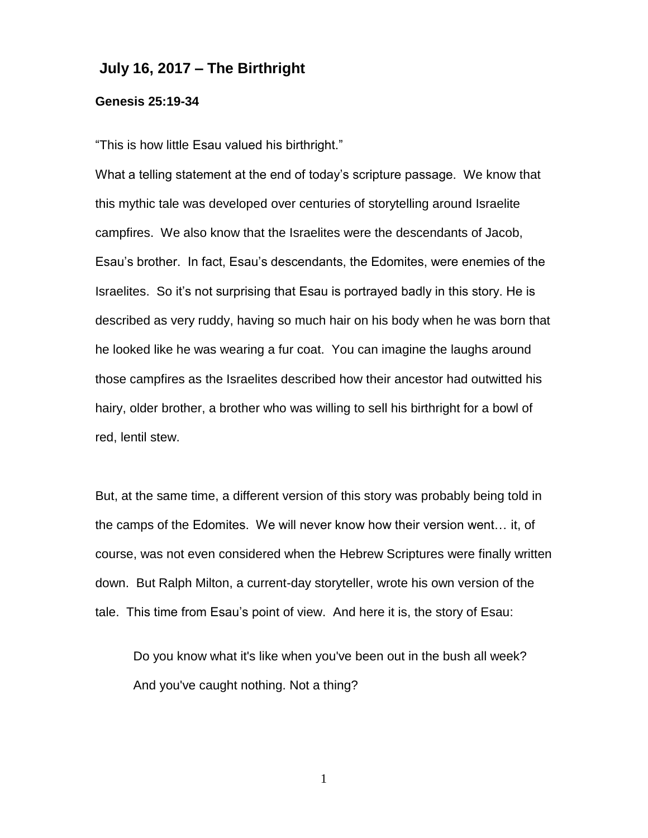## **July 16, 2017 – The Birthright**

## **Genesis 25:19-34**

"This is how little Esau valued his birthright."

What a telling statement at the end of today's scripture passage. We know that this mythic tale was developed over centuries of storytelling around Israelite campfires. We also know that the Israelites were the descendants of Jacob, Esau's brother. In fact, Esau's descendants, the Edomites, were enemies of the Israelites. So it's not surprising that Esau is portrayed badly in this story. He is described as very ruddy, having so much hair on his body when he was born that he looked like he was wearing a fur coat. You can imagine the laughs around those campfires as the Israelites described how their ancestor had outwitted his hairy, older brother, a brother who was willing to sell his birthright for a bowl of red, lentil stew.

But, at the same time, a different version of this story was probably being told in the camps of the Edomites. We will never know how their version went… it, of course, was not even considered when the Hebrew Scriptures were finally written down. But Ralph Milton, a current-day storyteller, wrote his own version of the tale. This time from Esau's point of view. And here it is, the story of Esau:

Do you know what it's like when you've been out in the bush all week? And you've caught nothing. Not a thing?

1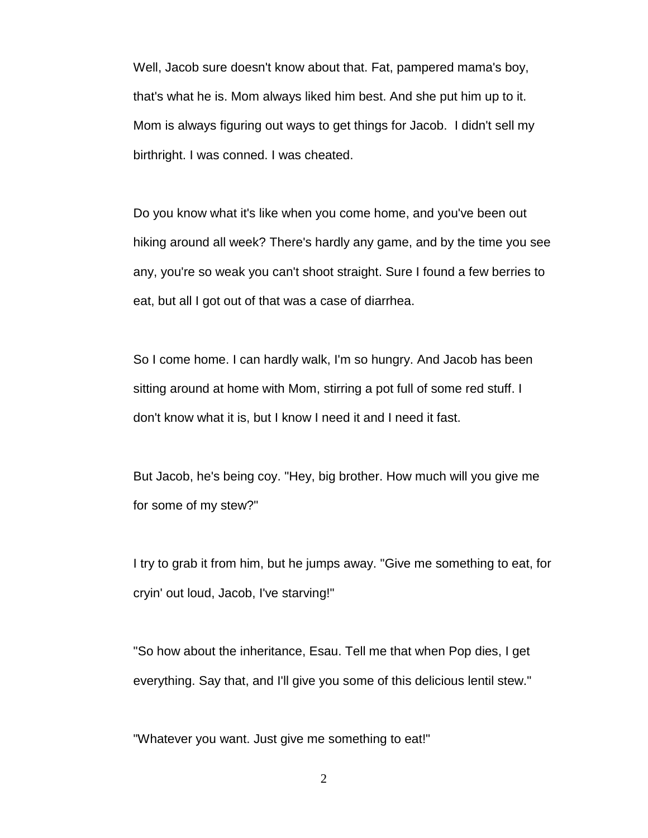Well, Jacob sure doesn't know about that. Fat, pampered mama's boy, that's what he is. Mom always liked him best. And she put him up to it. Mom is always figuring out ways to get things for Jacob. I didn't sell my birthright. I was conned. I was cheated.

Do you know what it's like when you come home, and you've been out hiking around all week? There's hardly any game, and by the time you see any, you're so weak you can't shoot straight. Sure I found a few berries to eat, but all I got out of that was a case of diarrhea.

So I come home. I can hardly walk, I'm so hungry. And Jacob has been sitting around at home with Mom, stirring a pot full of some red stuff. I don't know what it is, but I know I need it and I need it fast.

But Jacob, he's being coy. "Hey, big brother. How much will you give me for some of my stew?"

I try to grab it from him, but he jumps away. "Give me something to eat, for cryin' out loud, Jacob, I've starving!"

"So how about the inheritance, Esau. Tell me that when Pop dies, I get everything. Say that, and I'll give you some of this delicious lentil stew."

"Whatever you want. Just give me something to eat!"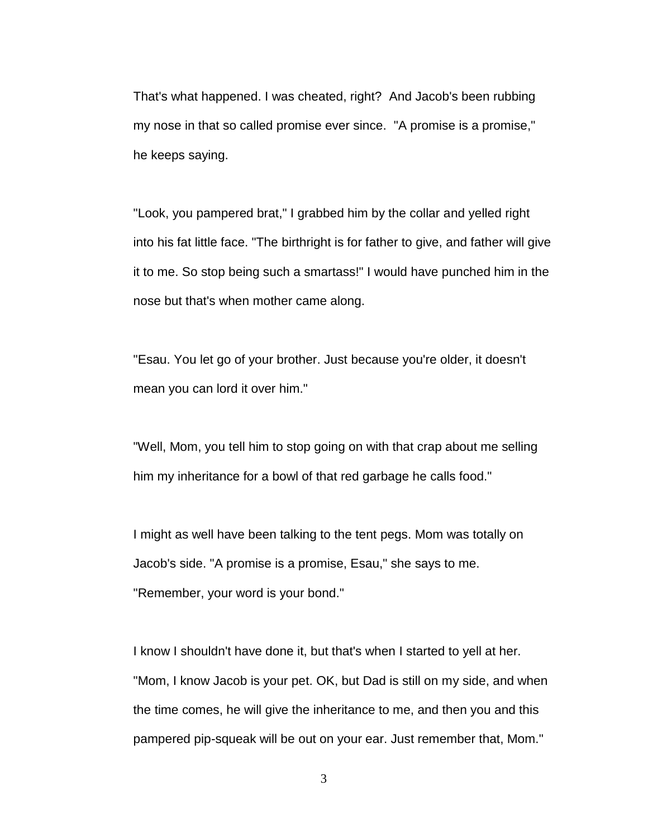That's what happened. I was cheated, right? And Jacob's been rubbing my nose in that so called promise ever since. "A promise is a promise," he keeps saying.

"Look, you pampered brat," I grabbed him by the collar and yelled right into his fat little face. "The birthright is for father to give, and father will give it to me. So stop being such a smartass!" I would have punched him in the nose but that's when mother came along.

"Esau. You let go of your brother. Just because you're older, it doesn't mean you can lord it over him."

"Well, Mom, you tell him to stop going on with that crap about me selling him my inheritance for a bowl of that red garbage he calls food."

I might as well have been talking to the tent pegs. Mom was totally on Jacob's side. "A promise is a promise, Esau," she says to me. "Remember, your word is your bond."

I know I shouldn't have done it, but that's when I started to yell at her. "Mom, I know Jacob is your pet. OK, but Dad is still on my side, and when the time comes, he will give the inheritance to me, and then you and this pampered pip-squeak will be out on your ear. Just remember that, Mom."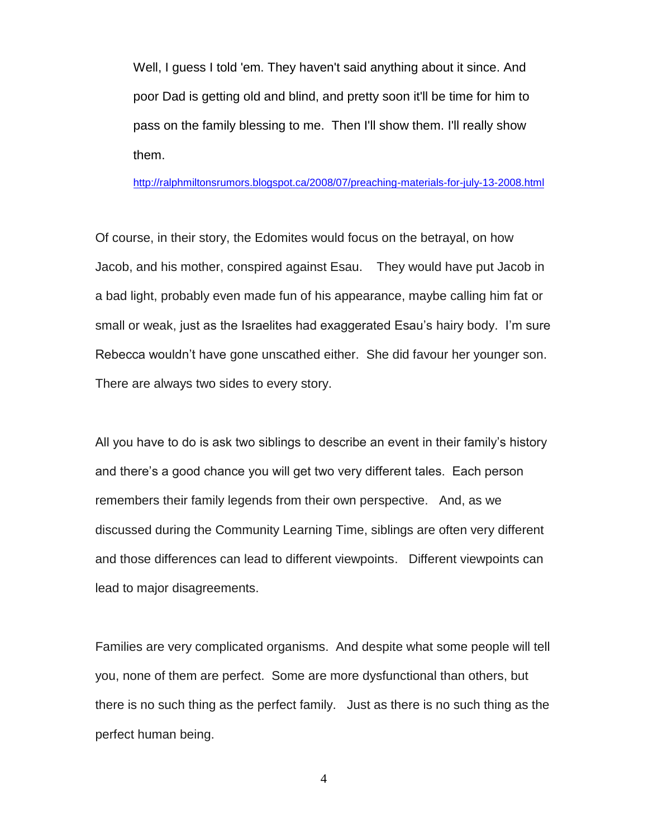Well, I guess I told 'em. They haven't said anything about it since. And poor Dad is getting old and blind, and pretty soon it'll be time for him to pass on the family blessing to me. Then I'll show them. I'll really show them.

<http://ralphmiltonsrumors.blogspot.ca/2008/07/preaching-materials-for-july-13-2008.html>

Of course, in their story, the Edomites would focus on the betrayal, on how Jacob, and his mother, conspired against Esau. They would have put Jacob in a bad light, probably even made fun of his appearance, maybe calling him fat or small or weak, just as the Israelites had exaggerated Esau's hairy body. I'm sure Rebecca wouldn't have gone unscathed either. She did favour her younger son. There are always two sides to every story.

All you have to do is ask two siblings to describe an event in their family's history and there's a good chance you will get two very different tales. Each person remembers their family legends from their own perspective. And, as we discussed during the Community Learning Time, siblings are often very different and those differences can lead to different viewpoints. Different viewpoints can lead to major disagreements.

Families are very complicated organisms. And despite what some people will tell you, none of them are perfect. Some are more dysfunctional than others, but there is no such thing as the perfect family. Just as there is no such thing as the perfect human being.

4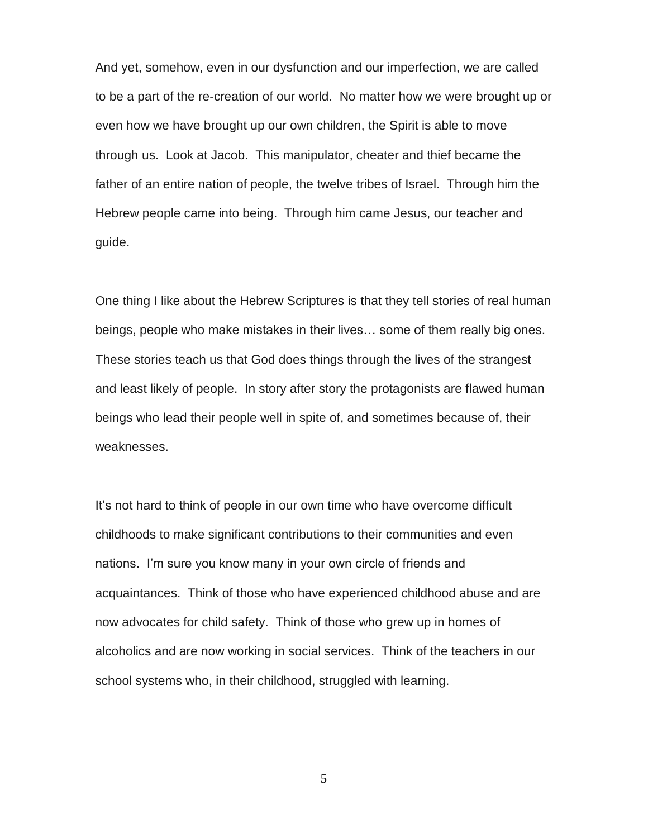And yet, somehow, even in our dysfunction and our imperfection, we are called to be a part of the re-creation of our world. No matter how we were brought up or even how we have brought up our own children, the Spirit is able to move through us. Look at Jacob. This manipulator, cheater and thief became the father of an entire nation of people, the twelve tribes of Israel. Through him the Hebrew people came into being. Through him came Jesus, our teacher and guide.

One thing I like about the Hebrew Scriptures is that they tell stories of real human beings, people who make mistakes in their lives… some of them really big ones. These stories teach us that God does things through the lives of the strangest and least likely of people. In story after story the protagonists are flawed human beings who lead their people well in spite of, and sometimes because of, their weaknesses.

It's not hard to think of people in our own time who have overcome difficult childhoods to make significant contributions to their communities and even nations. I'm sure you know many in your own circle of friends and acquaintances. Think of those who have experienced childhood abuse and are now advocates for child safety. Think of those who grew up in homes of alcoholics and are now working in social services. Think of the teachers in our school systems who, in their childhood, struggled with learning.

5